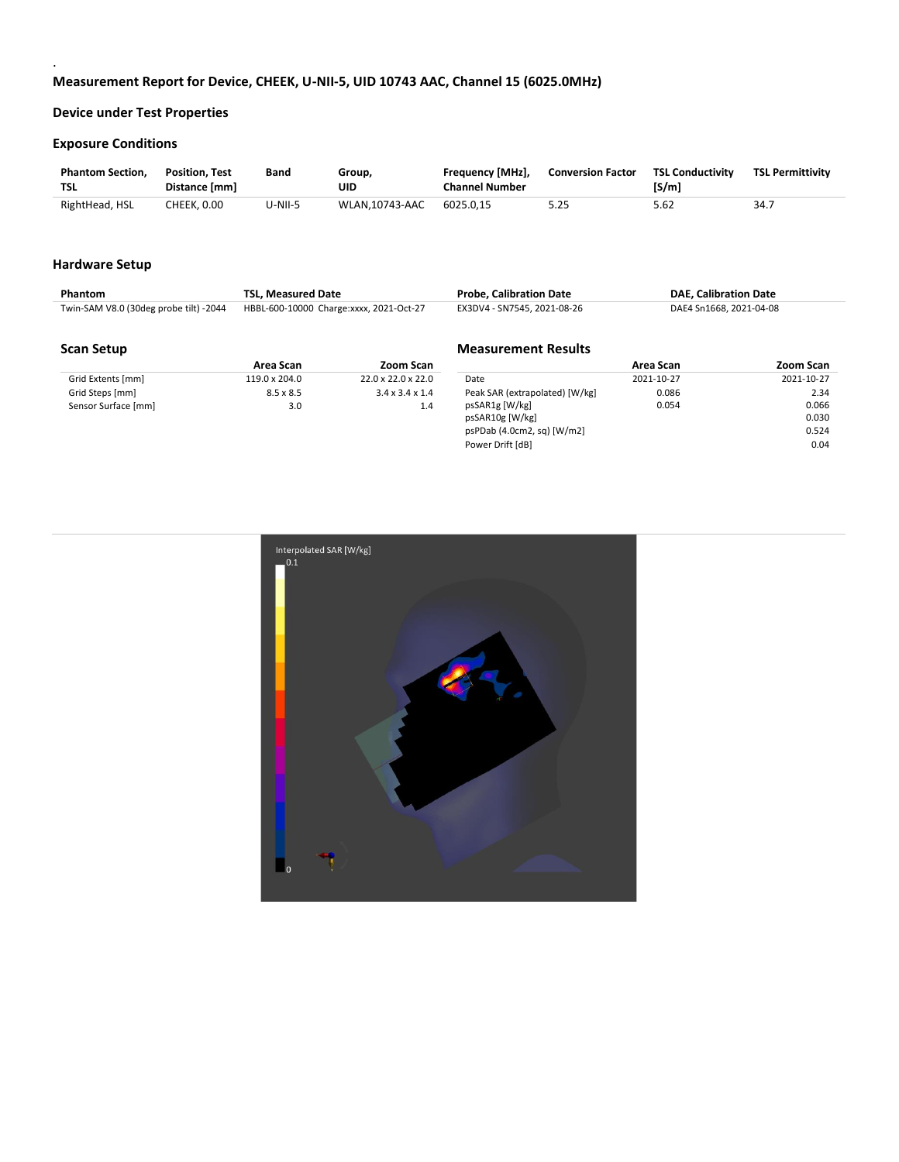### **Exposure Conditions**

.

| <b>Phantom Section.</b><br><b>TSL</b> | <b>Position. Test</b><br>Distance [mm] | Band    | Group,<br>UID  | Frequency [MHz],<br><b>Channel Number</b> | <b>Conversion Factor</b> | <b>TSL Conductivity</b><br>[S/m] | <b>TSL Permittivity</b> |
|---------------------------------------|----------------------------------------|---------|----------------|-------------------------------------------|--------------------------|----------------------------------|-------------------------|
| RightHead, HSL                        | CHEEK. 0.00                            | U-NII-5 | WLAN.10743-AAC | 6025.0.15                                 | 5.25                     | 5.62                             | 34.                     |

#### **Hardware Setup**

| <b>Phantom</b>                         | <b>TSL. Measured Date</b>               |           | <b>Probe. Calibration Date</b> |           | <b>DAE, Calibration Date</b> |           |  |
|----------------------------------------|-----------------------------------------|-----------|--------------------------------|-----------|------------------------------|-----------|--|
| Twin-SAM V8.0 (30deg probe tilt) -2044 | HBBL-600-10000 Charge:xxxx, 2021-Oct-27 |           | EX3DV4 - SN7545, 2021-08-26    |           | DAE4 Sn1668, 2021-04-08      |           |  |
|                                        |                                         |           |                                |           |                              |           |  |
| <b>Scan Setup</b>                      |                                         |           | <b>Measurement Results</b>     |           |                              |           |  |
|                                        | Area Scan                               | Zoom Scan |                                | Area Scan |                              | Zoom Scan |  |

Power Drift [dB] 0.04

|                     | Area Scan        | Zoom Scan                      |                                | Area Scan  | Zoom Scan  |
|---------------------|------------------|--------------------------------|--------------------------------|------------|------------|
| Grid Extents [mm]   | 119.0 x 204.0    | $22.0 \times 22.0 \times 22.0$ | Date                           | 2021-10-27 | 2021-10-27 |
| Grid Steps [mm]     | $8.5 \times 8.5$ | $3.4 \times 3.4 \times 1.4$    | Peak SAR (extrapolated) [W/kg] | 0.086      | 2.34       |
| Sensor Surface [mm] | 3.0              | 1.4                            | psSAR1g [W/kg]                 | 0.054      | 0.066      |
|                     |                  |                                | psSAR10g [W/kg]                |            | 0.030      |
|                     |                  |                                | psPDab (4.0cm2, sq) [W/m2]     |            | 0.524      |

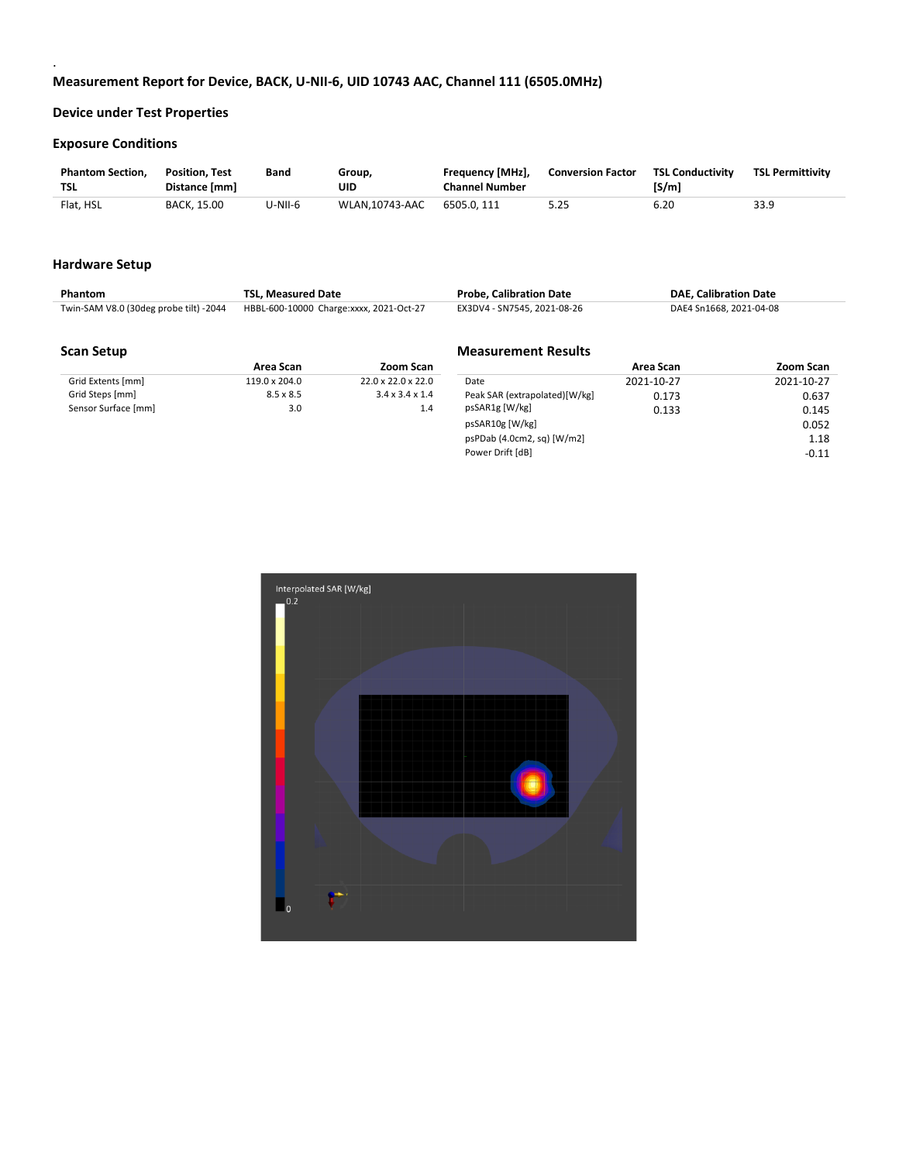### **Exposure Conditions**

.

| <b>Phantom Section.</b><br>TSL | <b>Position, Test</b><br>Distance [mm] | Band    | Group,<br>UID  | Frequency [MHz],<br><b>Channel Number</b> | <b>Conversion Factor</b> | <b>TSL Conductivity</b><br>[S/m] | <b>TSL Permittivity</b> |
|--------------------------------|----------------------------------------|---------|----------------|-------------------------------------------|--------------------------|----------------------------------|-------------------------|
| Flat, HSL                      | <b>BACK. 15.00</b>                     | U-NII-6 | WLAN.10743-AAC | 6505.0.111                                | 5.25                     | 6.20                             | 33.9                    |

#### **Hardware Setup**

| Phantom | TSL. Measured Date                                                             | <b>Probe, Calibration Date</b> | <b>DAE. Calibration Date</b> |
|---------|--------------------------------------------------------------------------------|--------------------------------|------------------------------|
|         | Twin-SAM V8.0 (30deg probe tilt) -2044 HBBL-600-10000 Charge:xxxx, 2021-Oct-27 | EX3DV4 - SN7545, 2021-08-26    | DAE4 Sn1668, 2021-04-08      |

### **Scan Setup**

|                     | Area Scan        | Zoom Scan                      |
|---------------------|------------------|--------------------------------|
| Grid Extents [mm]   | 119.0 x 204.0    | $22.0 \times 22.0 \times 22.0$ |
| Grid Steps [mm]     | $8.5 \times 8.5$ | $3.4 \times 3.4 \times 1.4$    |
| Sensor Surface [mm] | 3.0              | 1.4                            |

## **Measurement Results**

|                                 | Area Scan  | Zoom Scan  |
|---------------------------------|------------|------------|
| Date                            | 2021-10-27 | 2021-10-27 |
| Peak SAR (extrapolated)[W/kg]   | 0.173      | 0.637      |
| psSAR1g [W/kg]                  | 0.133      | 0.145      |
| psSAR10g [W/kg]                 |            | 0.052      |
| $psP$ Dab (4.0cm2, sq) $[W/m2]$ |            | 1.18       |
| Power Drift [dB]                |            | $-0.11$    |

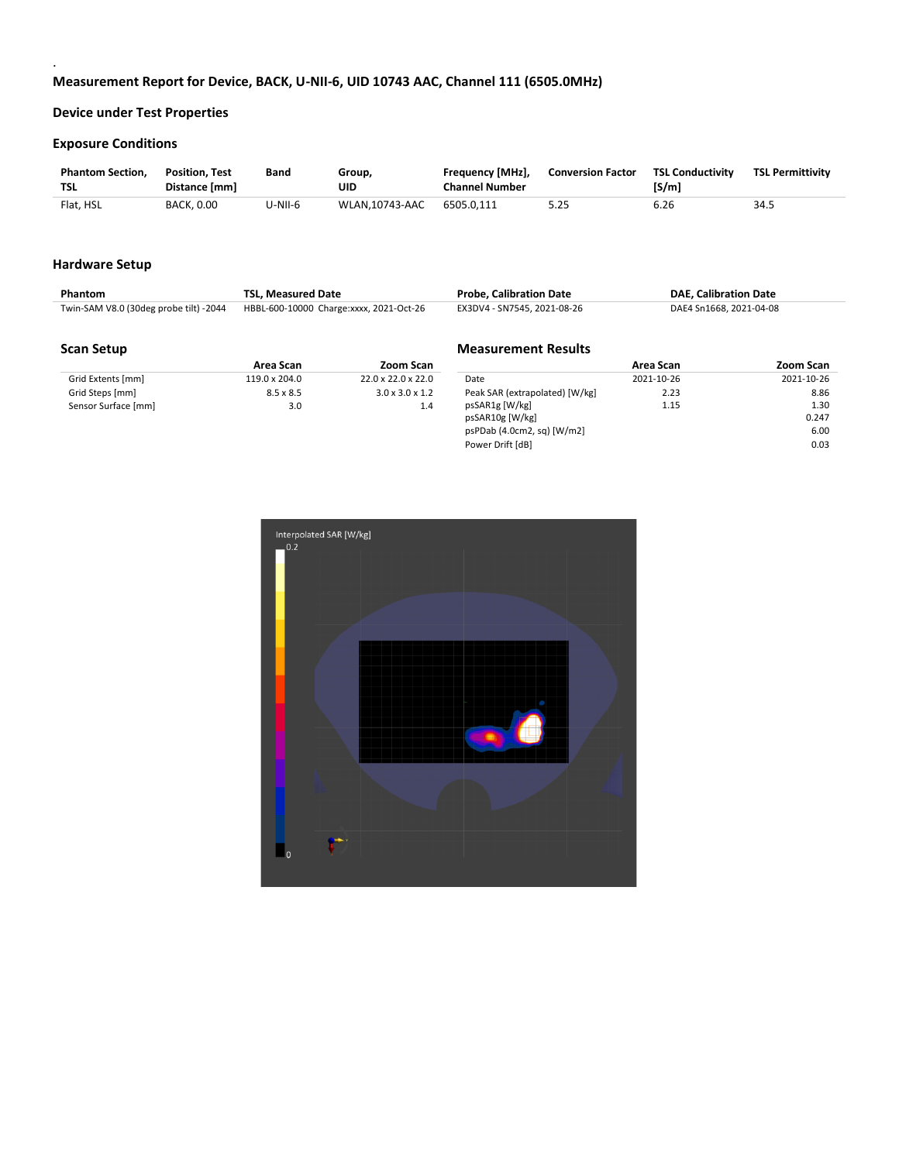### **Exposure Conditions**

.

| <b>Phantom Section.</b><br>TSL | <b>Position, Test</b><br>Distance [mm] | Band    | Group,<br>UID  | Frequency [MHz],<br><b>Channel Number</b> | <b>Conversion Factor</b> | <b>TSL Conductivity</b><br>[S/m] | <b>TSL Permittivity</b> |
|--------------------------------|----------------------------------------|---------|----------------|-------------------------------------------|--------------------------|----------------------------------|-------------------------|
| Flat, HSL                      | <b>BACK, 0.00</b>                      | U-NII-6 | WLAN.10743-AAC | 6505.0.111                                | 5.25                     | 6.26                             | 34.5                    |

### **Hardware Setup**

| Phantom | <b>TSL. Measured Date</b>                                                      | <b>Probe. Calibration Date</b> | <b>DAE, Calibration Date</b> |
|---------|--------------------------------------------------------------------------------|--------------------------------|------------------------------|
|         | Twin-SAM V8.0 (30deg probe tilt) -2044 HBBL-600-10000 Charge:xxxx, 2021-Oct-26 | EX3DV4 - SN7545, 2021-08-26    | DAE4 Sn1668, 2021-04-08      |

**Measurement Results**

#### **Scan Setup**

|                     | Area Scan        | Zoom Scan                      |
|---------------------|------------------|--------------------------------|
| Grid Extents [mm]   | 119.0 x 204.0    | $22.0 \times 22.0 \times 22.0$ |
| Grid Steps [mm]     | $8.5 \times 8.5$ | $3.0 \times 3.0 \times 1.2$    |
| Sensor Surface [mm] | 3.0              | 14                             |

|                                | Area Scan  | Zoom Scan  |
|--------------------------------|------------|------------|
| Date                           | 2021-10-26 | 2021-10-26 |
| Peak SAR (extrapolated) [W/kg] | 2.23       | 8.86       |
| psSAR1g [W/kg]                 | 1.15       | 1.30       |
| psSAR10g [W/kg]                |            | 0.247      |
| psPDab (4.0cm2, sq) [W/m2]     |            | 6.00       |
| Power Drift [dB]               |            | 0.03       |

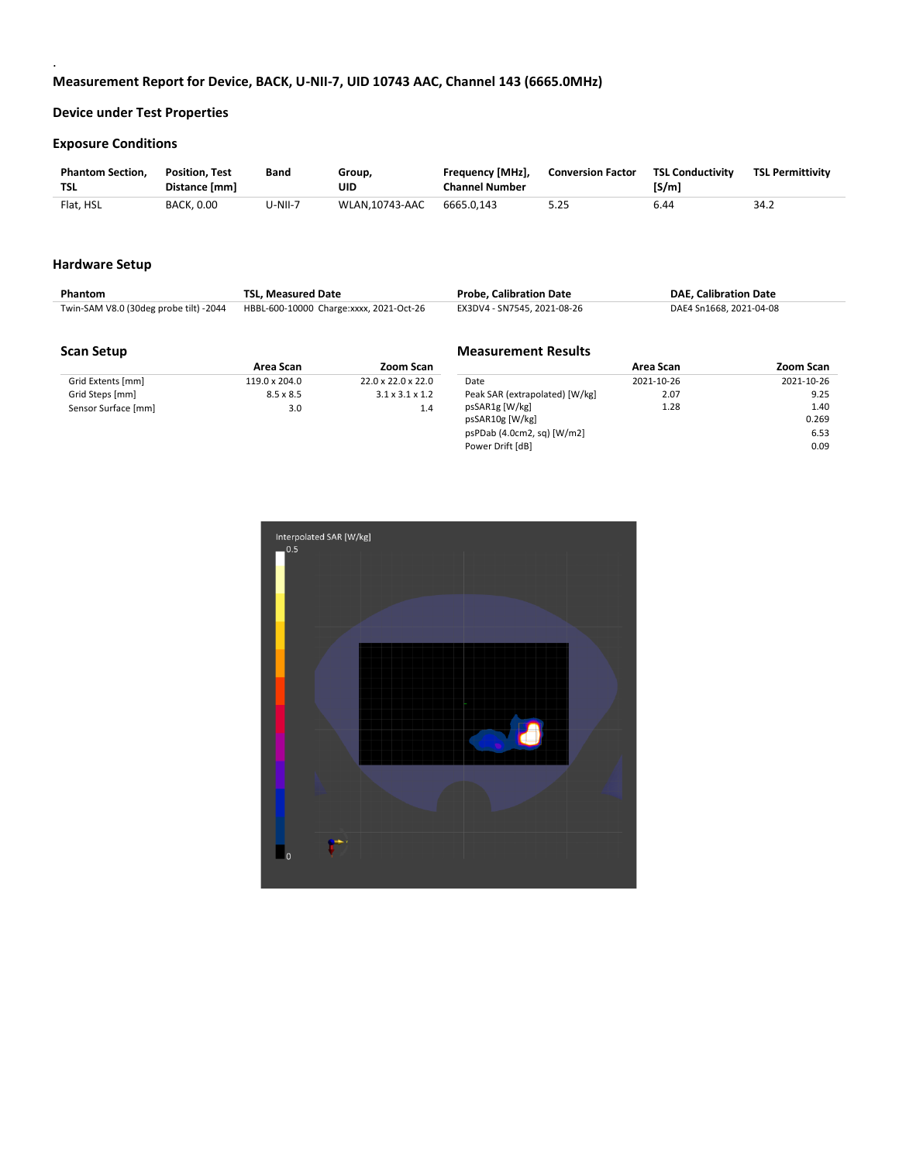### **Exposure Conditions**

.

| <b>Phantom Section.</b><br><b>TSL</b> | <b>Position. Test</b><br>Distance [mm] | Band    | Group,<br>UID  | Frequency [MHz],<br><b>Channel Number</b> | <b>Conversion Factor</b> | <b>TSL Conductivity</b><br>[S/m] | <b>TSL Permittivity</b> |
|---------------------------------------|----------------------------------------|---------|----------------|-------------------------------------------|--------------------------|----------------------------------|-------------------------|
| Flat. HSL                             | <b>BACK, 0.00</b>                      | U-NII-7 | WLAN.10743-AAC | 6665.0.143                                | 5.25                     | 6.44                             | 34.2                    |

### **Hardware Setup**

| Phantom                                | TSL. Measured Date                      | <b>Probe, Calibration Date</b> | <b>DAE, Calibration Date</b> |
|----------------------------------------|-----------------------------------------|--------------------------------|------------------------------|
| Twin-SAM V8.0 (30deg probe tilt) -2044 | HBBL-600-10000 Charge:xxxx, 2021-Oct-26 | EX3DV4 - SN7545. 2021-08-26    | DAE4 Sn1668, 2021-04-08      |

### **Scan Setup**

|                     | Area Scan            | Zoom Scan                      |  |
|---------------------|----------------------|--------------------------------|--|
| Grid Extents [mm]   | $119.0 \times 204.0$ | $22.0 \times 22.0 \times 22.0$ |  |
| Grid Steps [mm]     | 8.5 x 8.5            | $3.1 \times 3.1 \times 1.2$    |  |
| Sensor Surface [mm] | 3.0                  | 1.4                            |  |

## **Measurement Results**

|                                 | Area Scan  | Zoom Scan  |
|---------------------------------|------------|------------|
| Date                            | 2021-10-26 | 2021-10-26 |
| Peak SAR (extrapolated) [W/kg]  | 2.07       | 9.25       |
| psSAR1g [W/kg]                  | 1.28       | 1.40       |
| psSAR10g [W/kg]                 |            | 0.269      |
| $psP$ Dab (4.0cm2, sq) $[W/m2]$ |            | 6.53       |
| Power Drift [dB]                |            | 0.09       |